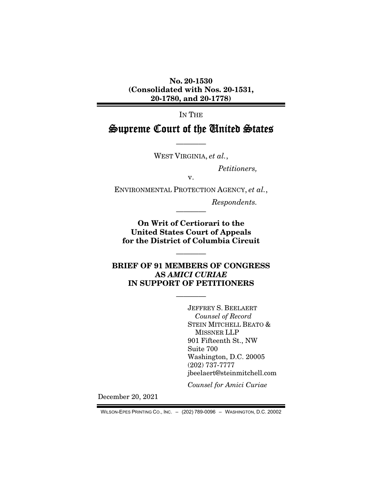No. 20-1530 (Consolidated with Nos. 20-1531, 20-1780, and 20-1778)

IN THE

# Supreme Court of the United States

———— WEST VIRGINIA, *et al.*,

*Petitioners,* 

v.

ENVIRONMENTAL PROTECTION AGENCY, *et al.*,

*Respondents.* 

On Writ of Certiorari to the United States Court of Appeals for the District of Columbia Circuit

————

————

## BRIEF OF 91 MEMBERS OF CONGRESS AS *AMICI CURIAE* IN SUPPORT OF PETITIONERS

————

JEFFREY S. BEELAERT *Counsel of Record*  STEIN MITCHELL BEATO & MISSNER LLP 901 Fifteenth St., NW Suite 700 Washington, D.C. 20005 (202) 737-7777 jbeelaert@steinmitchell.com

*Counsel for Amici Curiae* 

December 20, 2021

WILSON-EPES PRINTING CO., INC. – (202) 789-0096 – WASHINGTON, D.C. 20002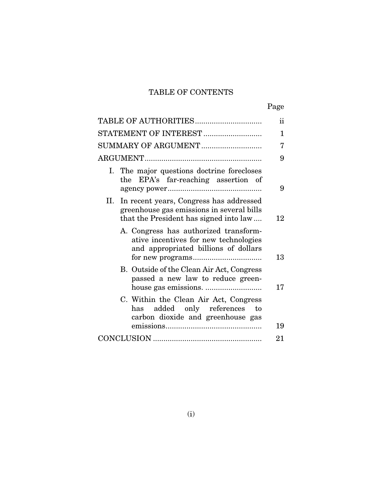# TABLE OF CONTENTS

|--|

| TABLE OF AUTHORITIES                                                                                                               | ii |
|------------------------------------------------------------------------------------------------------------------------------------|----|
| STATEMENT OF INTEREST                                                                                                              | 1  |
| SUMMARY OF ARGUMENT                                                                                                                | 7  |
|                                                                                                                                    | 9  |
| I. The major questions doctrine forecloses<br>the EPA's far-reaching assertion of                                                  | 9  |
| II. In recent years, Congress has addressed<br>greenhouse gas emissions in several bills<br>that the President has signed into law | 12 |
| A. Congress has authorized transform-<br>ative incentives for new technologies<br>and appropriated billions of dollars             | 13 |
| B. Outside of the Clean Air Act, Congress<br>passed a new law to reduce green-                                                     | 17 |
| C. Within the Clean Air Act, Congress<br>has added only references to<br>carbon dioxide and greenhouse gas                         | 19 |
|                                                                                                                                    | 21 |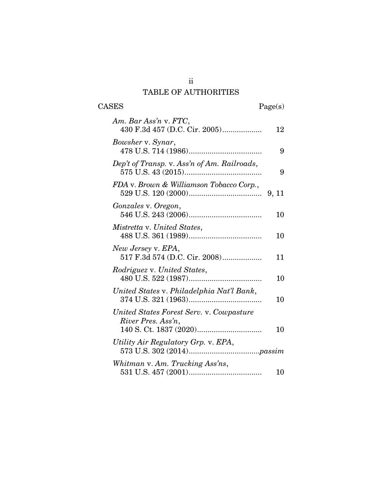# TABLE OF AUTHORITIES

CASES Page(s)

| Am. Bar Ass'n v. FTC,<br>430 F.3d 457 (D.C. Cir. 2005)         | 12 |
|----------------------------------------------------------------|----|
| Bowsher v. Synar,                                              | 9  |
| Dep't of Transp. v. Ass'n of Am. Railroads,                    | 9  |
| FDA v. Brown & Williamson Tobacco Corp.,                       |    |
| Gonzales v. Oregon,                                            | 10 |
| Mistretta v. United States,                                    | 10 |
| New Jersey v. EPA,<br>517 F.3d 574 (D.C. Cir. 2008)            | 11 |
| Rodriguez v. United States,                                    | 10 |
| United States v. Philadelphia Nat'l Bank,                      | 10 |
| United States Forest Serv. v. Cowpasture<br>River Pres. Ass'n, | 10 |
| Utility Air Regulatory Grp. v. EPA,                            |    |
| Whitman v. Am. Trucking Ass'ns,                                | 10 |

ii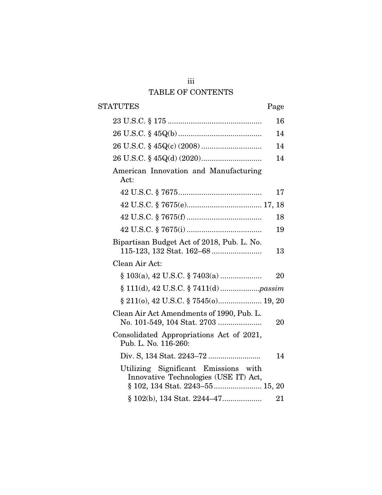# iii TABLE OF CONTENTS

| STATUTES                                                                         | Page |
|----------------------------------------------------------------------------------|------|
|                                                                                  | 16   |
|                                                                                  | 14   |
|                                                                                  | 14   |
|                                                                                  | 14   |
| American Innovation and Manufacturing<br>Act:                                    |      |
|                                                                                  | 17   |
|                                                                                  |      |
|                                                                                  | 18   |
|                                                                                  | 19   |
| Bipartisan Budget Act of 2018, Pub. L. No.                                       | 13   |
| Clean Air Act:                                                                   |      |
|                                                                                  | 20   |
|                                                                                  |      |
|                                                                                  |      |
| Clean Air Act Amendments of 1990, Pub. L.<br>No. 101-549, 104 Stat. 2703         | 20   |
| Consolidated Appropriations Act of 2021,<br>Pub. L. No. 116-260:                 |      |
|                                                                                  | 14   |
| Utilizing Significant Emissions<br>with<br>Innovative Technologies (USE IT) Act, |      |
| § 102(b), 134 Stat. 2244-47                                                      | 21   |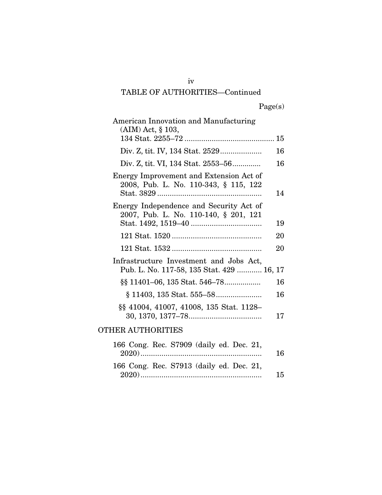# iv TABLE OF AUTHORITIES—Continued

Page(s)

| American Innovation and Manufacturing<br>$(AIM)$ Act, § 103,                         |    |
|--------------------------------------------------------------------------------------|----|
|                                                                                      |    |
|                                                                                      | 16 |
| Div. Z, tit. VI, 134 Stat. 2553–56                                                   | 16 |
| Energy Improvement and Extension Act of<br>2008, Pub. L. No. 110-343, § 115, 122     | 14 |
| Energy Independence and Security Act of<br>2007, Pub. L. No. 110-140, § 201, 121     | 19 |
|                                                                                      | 20 |
|                                                                                      | 20 |
| Infrastructure Investment and Jobs Act,<br>Pub. L. No. 117-58, 135 Stat. 429  16, 17 |    |
| §§ 11401–06, 135 Stat. 546–78                                                        | 16 |
|                                                                                      | 16 |
| §§ 41004, 41007, 41008, 135 Stat. 1128-                                              | 17 |
| OTHER AUTHORITIES                                                                    |    |
| 166 Cong. Rec. S7909 (daily ed. Dec. 21,                                             | 16 |
| 166 Cong. Rec. S7913 (daily ed. Dec. 21,                                             |    |

2020) .......................................................... 15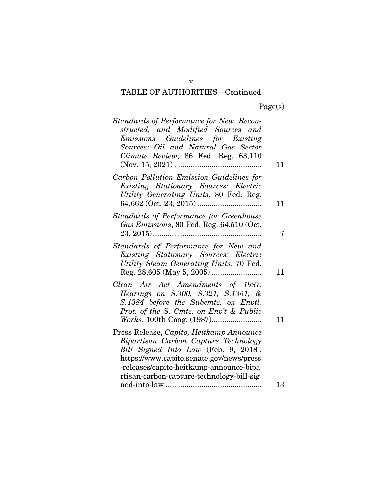# TABLE OF AUTHORITIES—Continued

| Standards of Performance for New, Recon-<br>structed, and Modified Sources and<br>Emissions Guidelines for Existing<br>Sources: Oil and Natural Gas Sector<br>Climate Review, 86 Fed. Reg. 63,110                                                            | 11 |
|--------------------------------------------------------------------------------------------------------------------------------------------------------------------------------------------------------------------------------------------------------------|----|
| Carbon Pollution Emission Guidelines for<br>Existing Stationary Sources: Electric<br>Utility Generating Units, 80 Fed. Reg.                                                                                                                                  | 11 |
| Standards of Performance for Greenhouse<br>Gas Emissions, 80 Fed. Reg. 64,510 (Oct.                                                                                                                                                                          | 7  |
| Standards of Performance for New and<br>Existing Stationary Sources: Electric<br>Utility Steam Generating Units, 70 Fed.                                                                                                                                     | 11 |
| Clean Air Act Amendments of 1987:<br>Hearings on S.300, S.321, S.1351, &<br>S.1384 before the Subcmte. on Envtl.<br>Prot. of the S. Cmte. on Env't & Public                                                                                                  | 11 |
| Press Release, Capito, Heitkamp Announce<br>Bipartisan Carbon Capture Technology<br>Bill Signed Into Law (Feb. 9, 2018),<br>https://www.capito.senate.gov/news/press<br>-releases/capito-heitkamp-announce-bipa<br>rtisan-carbon-capture-technology-bill-sig |    |
|                                                                                                                                                                                                                                                              | 13 |

v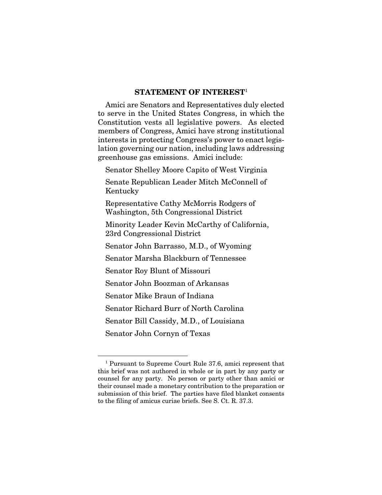#### STATEMENT OF INTEREST<sup>1</sup>

Amici are Senators and Representatives duly elected to serve in the United States Congress, in which the Constitution vests all legislative powers. As elected members of Congress, Amici have strong institutional interests in protecting Congress's power to enact legislation governing our nation, including laws addressing greenhouse gas emissions. Amici include:

Senator Shelley Moore Capito of West Virginia

Senate Republican Leader Mitch McConnell of Kentucky

Representative Cathy McMorris Rodgers of Washington, 5th Congressional District

Minority Leader Kevin McCarthy of California, 23rd Congressional District

Senator John Barrasso, M.D., of Wyoming

Senator Marsha Blackburn of Tennessee

Senator Roy Blunt of Missouri

Senator John Boozman of Arkansas

Senator Mike Braun of Indiana

Senator Richard Burr of North Carolina

Senator Bill Cassidy, M.D., of Louisiana

Senator John Cornyn of Texas

<sup>1</sup> Pursuant to Supreme Court Rule 37.6, amici represent that this brief was not authored in whole or in part by any party or counsel for any party. No person or party other than amici or their counsel made a monetary contribution to the preparation or submission of this brief. The parties have filed blanket consents to the filing of amicus curiae briefs. See S. Ct. R. 37.3.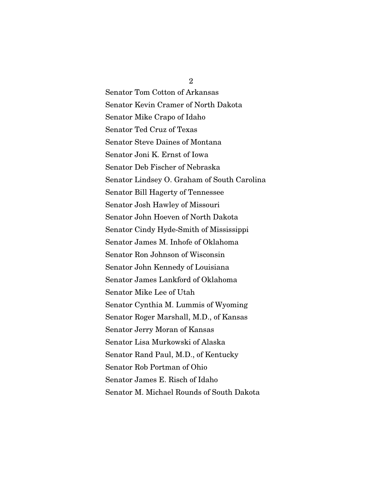Senator Tom Cotton of Arkansas Senator Kevin Cramer of North Dakota Senator Mike Crapo of Idaho Senator Ted Cruz of Texas Senator Steve Daines of Montana Senator Joni K. Ernst of Iowa Senator Deb Fischer of Nebraska Senator Lindsey O. Graham of South Carolina Senator Bill Hagerty of Tennessee Senator Josh Hawley of Missouri Senator John Hoeven of North Dakota Senator Cindy Hyde-Smith of Mississippi Senator James M. Inhofe of Oklahoma Senator Ron Johnson of Wisconsin Senator John Kennedy of Louisiana Senator James Lankford of Oklahoma Senator Mike Lee of Utah Senator Cynthia M. Lummis of Wyoming Senator Roger Marshall, M.D., of Kansas Senator Jerry Moran of Kansas Senator Lisa Murkowski of Alaska Senator Rand Paul, M.D., of Kentucky Senator Rob Portman of Ohio Senator James E. Risch of Idaho Senator M. Michael Rounds of South Dakota

2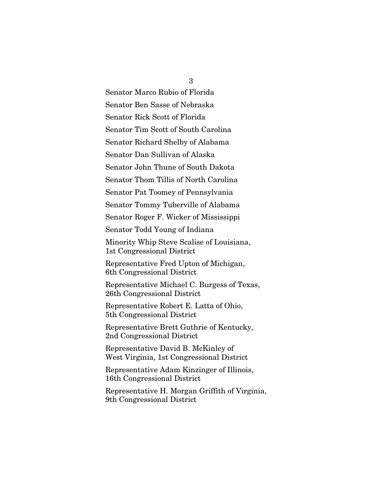3

Senator Marco Rubio of Florida

Senator Ben Sasse of Nebraska

Senator Rick Scott of Florida

Senator Tim Scott of South Carolina

Senator Richard Shelby of Alabama

Senator Dan Sullivan of Alaska

Senator John Thune of South Dakota

Senator Thom Tillis of North Carolina

Senator Pat Toomey of Pennsylvania

Senator Tommy Tuberville of Alabama

Senator Roger F. Wicker of Mississippi

Senator Todd Young of Indiana

Minority Whip Steve Scalise of Louisiana, 1st Congressional District

Representative Fred Upton of Michigan, 6th Congressional District

Representative Michael C. Burgess of Texas, 26th Congressional District

Representative Robert E. Latta of Ohio, 5th Congressional District

Representative Brett Guthrie of Kentucky, 2nd Congressional District

Representative David B. McKinley of West Virginia, 1st Congressional District

Representative Adam Kinzinger of Illinois, 16th Congressional District

Representative H. Morgan Griffith of Virginia, 9th Congressional District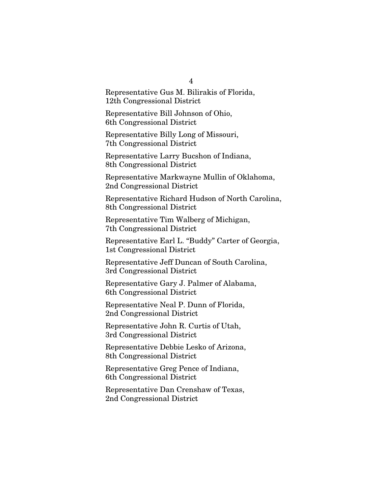Representative Gus M. Bilirakis of Florida, 12th Congressional District

Representative Bill Johnson of Ohio, 6th Congressional District

Representative Billy Long of Missouri, 7th Congressional District

Representative Larry Bucshon of Indiana, 8th Congressional District

Representative Markwayne Mullin of Oklahoma, 2nd Congressional District

Representative Richard Hudson of North Carolina, 8th Congressional District

Representative Tim Walberg of Michigan, 7th Congressional District

Representative Earl L. "Buddy" Carter of Georgia, 1st Congressional District

Representative Jeff Duncan of South Carolina, 3rd Congressional District

Representative Gary J. Palmer of Alabama, 6th Congressional District

Representative Neal P. Dunn of Florida, 2nd Congressional District

Representative John R. Curtis of Utah, 3rd Congressional District

Representative Debbie Lesko of Arizona, 8th Congressional District

Representative Greg Pence of Indiana, 6th Congressional District

Representative Dan Crenshaw of Texas, 2nd Congressional District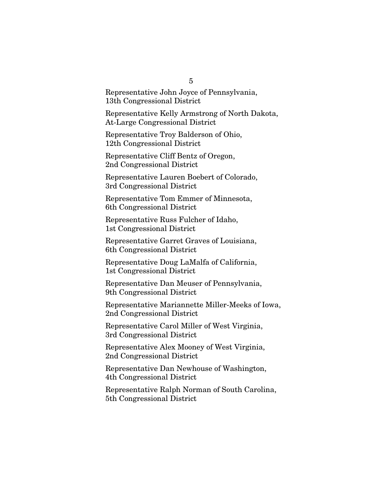Representative John Joyce of Pennsylvania, 13th Congressional District

Representative Kelly Armstrong of North Dakota, At-Large Congressional District

Representative Troy Balderson of Ohio, 12th Congressional District

Representative Cliff Bentz of Oregon, 2nd Congressional District

Representative Lauren Boebert of Colorado, 3rd Congressional District

Representative Tom Emmer of Minnesota, 6th Congressional District

Representative Russ Fulcher of Idaho, 1st Congressional District

Representative Garret Graves of Louisiana, 6th Congressional District

Representative Doug LaMalfa of California, 1st Congressional District

Representative Dan Meuser of Pennsylvania, 9th Congressional District

Representative Mariannette Miller-Meeks of Iowa, 2nd Congressional District

Representative Carol Miller of West Virginia, 3rd Congressional District

Representative Alex Mooney of West Virginia, 2nd Congressional District

Representative Dan Newhouse of Washington, 4th Congressional District

Representative Ralph Norman of South Carolina, 5th Congressional District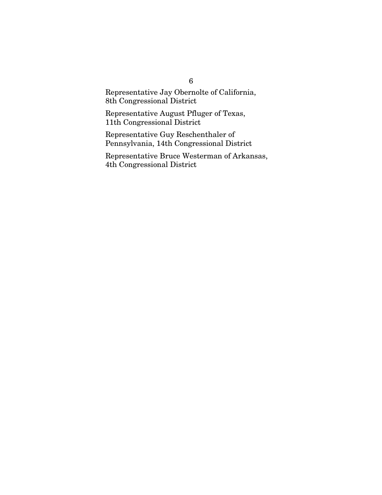Representative Jay Obernolte of California, 8th Congressional District

Representative August Pfluger of Texas, 11th Congressional District

Representative Guy Reschenthaler of Pennsylvania, 14th Congressional District

Representative Bruce Westerman of Arkansas, 4th Congressional District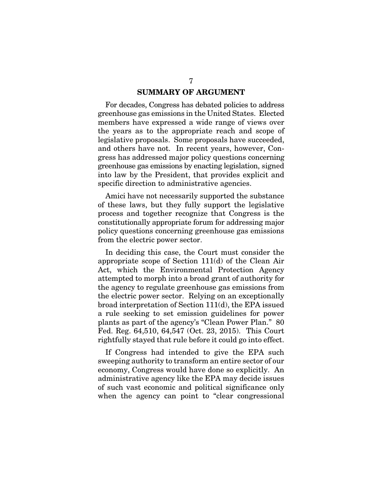### SUMMARY OF ARGUMENT

For decades, Congress has debated policies to address greenhouse gas emissions in the United States. Elected members have expressed a wide range of views over the years as to the appropriate reach and scope of legislative proposals. Some proposals have succeeded, and others have not. In recent years, however, Congress has addressed major policy questions concerning greenhouse gas emissions by enacting legislation, signed into law by the President, that provides explicit and specific direction to administrative agencies.

Amici have not necessarily supported the substance of these laws, but they fully support the legislative process and together recognize that Congress is the constitutionally appropriate forum for addressing major policy questions concerning greenhouse gas emissions from the electric power sector.

In deciding this case, the Court must consider the appropriate scope of Section 111(d) of the Clean Air Act, which the Environmental Protection Agency attempted to morph into a broad grant of authority for the agency to regulate greenhouse gas emissions from the electric power sector. Relying on an exceptionally broad interpretation of Section 111(d), the EPA issued a rule seeking to set emission guidelines for power plants as part of the agency's "Clean Power Plan." 80 Fed. Reg. 64,510, 64,547 (Oct. 23, 2015). This Court rightfully stayed that rule before it could go into effect.

If Congress had intended to give the EPA such sweeping authority to transform an entire sector of our economy, Congress would have done so explicitly. An administrative agency like the EPA may decide issues of such vast economic and political significance only when the agency can point to "clear congressional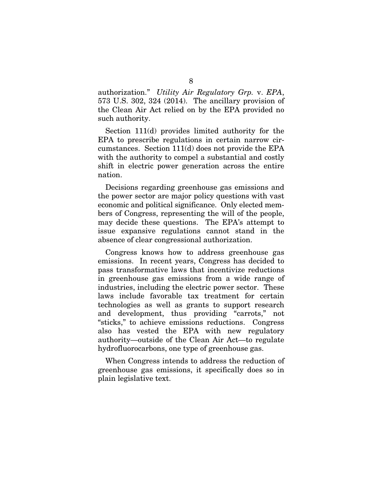authorization." *Utility Air Regulatory Grp.* v. *EPA*, 573 U.S. 302, 324 (2014). The ancillary provision of the Clean Air Act relied on by the EPA provided no such authority.

Section 111(d) provides limited authority for the EPA to prescribe regulations in certain narrow circumstances. Section 111(d) does not provide the EPA with the authority to compel a substantial and costly shift in electric power generation across the entire nation.

Decisions regarding greenhouse gas emissions and the power sector are major policy questions with vast economic and political significance. Only elected members of Congress, representing the will of the people, may decide these questions. The EPA's attempt to issue expansive regulations cannot stand in the absence of clear congressional authorization.

Congress knows how to address greenhouse gas emissions. In recent years, Congress has decided to pass transformative laws that incentivize reductions in greenhouse gas emissions from a wide range of industries, including the electric power sector. These laws include favorable tax treatment for certain technologies as well as grants to support research and development, thus providing "carrots," not "sticks," to achieve emissions reductions. Congress also has vested the EPA with new regulatory authority—outside of the Clean Air Act—to regulate hydrofluorocarbons, one type of greenhouse gas.

When Congress intends to address the reduction of greenhouse gas emissions, it specifically does so in plain legislative text.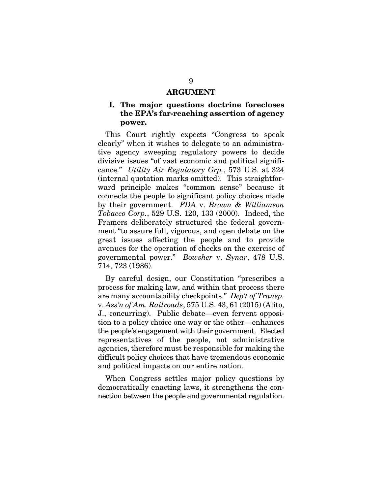#### ARGUMENT

## I. The major questions doctrine forecloses the EPA's far-reaching assertion of agency power.

This Court rightly expects "Congress to speak clearly" when it wishes to delegate to an administrative agency sweeping regulatory powers to decide divisive issues "of vast economic and political significance." *Utility Air Regulatory Grp.*, 573 U.S. at 324 (internal quotation marks omitted). This straightforward principle makes "common sense" because it connects the people to significant policy choices made by their government. *FDA* v. *Brown & Williamson Tobacco Corp.*, 529 U.S. 120, 133 (2000). Indeed, the Framers deliberately structured the federal government "to assure full, vigorous, and open debate on the great issues affecting the people and to provide avenues for the operation of checks on the exercise of governmental power." *Bowsher* v. *Synar*, 478 U.S. 714, 723 (1986).

By careful design, our Constitution "prescribes a process for making law, and within that process there are many accountability checkpoints." *Dep't of Transp.*  v. *Ass'n of Am. Railroads*, 575 U.S. 43, 61 (2015) (Alito, J., concurring). Public debate—even fervent opposition to a policy choice one way or the other—enhances the people's engagement with their government. Elected representatives of the people, not administrative agencies, therefore must be responsible for making the difficult policy choices that have tremendous economic and political impacts on our entire nation.

When Congress settles major policy questions by democratically enacting laws, it strengthens the connection between the people and governmental regulation.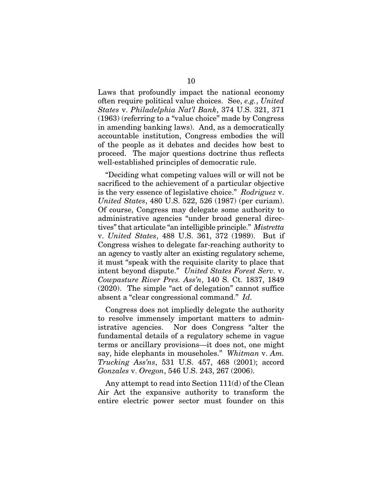Laws that profoundly impact the national economy often require political value choices. See, *e.g.*, *United States* v. *Philadelphia Nat'l Bank*, 374 U.S. 321, 371 (1963) (referring to a "value choice" made by Congress in amending banking laws). And, as a democratically accountable institution, Congress embodies the will of the people as it debates and decides how best to proceed. The major questions doctrine thus reflects well-established principles of democratic rule.

"Deciding what competing values will or will not be sacrificed to the achievement of a particular objective is the very essence of legislative choice." *Rodriguez* v. *United States*, 480 U.S. 522, 526 (1987) (per curiam). Of course, Congress may delegate some authority to administrative agencies "under broad general directives" that articulate "an intelligible principle." *Mistretta*  v. *United States*, 488 U.S. 361, 372 (1989). But if Congress wishes to delegate far-reaching authority to an agency to vastly alter an existing regulatory scheme, it must "speak with the requisite clarity to place that intent beyond dispute." *United States Forest Serv.* v. *Cowpasture River Pres. Ass'n*, 140 S. Ct. 1837, 1849 (2020). The simple "act of delegation" cannot suffice absent a "clear congressional command." *Id.*

Congress does not impliedly delegate the authority to resolve immensely important matters to administrative agencies. Nor does Congress "alter the fundamental details of a regulatory scheme in vague terms or ancillary provisions—it does not, one might say, hide elephants in mouseholes." *Whitman* v. *Am. Trucking Ass'ns*, 531 U.S. 457, 468 (2001); accord *Gonzales* v. *Oregon*, 546 U.S. 243, 267 (2006).

Any attempt to read into Section 111(d) of the Clean Air Act the expansive authority to transform the entire electric power sector must founder on this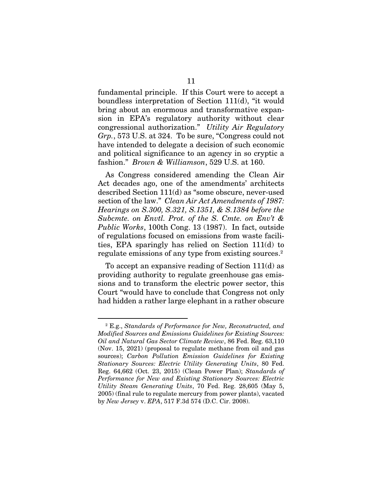fundamental principle. If this Court were to accept a boundless interpretation of Section 111(d), "it would bring about an enormous and transformative expansion in EPA's regulatory authority without clear congressional authorization." *Utility Air Regulatory Grp.*, 573 U.S. at 324. To be sure, "Congress could not have intended to delegate a decision of such economic and political significance to an agency in so cryptic a fashion." *Brown & Williamson*, 529 U.S. at 160.

As Congress considered amending the Clean Air Act decades ago, one of the amendments' architects described Section 111(d) as "some obscure, never-used section of the law." *Clean Air Act Amendments of 1987: Hearings on S.300, S.321, S.1351, & S.1384 before the Subcmte. on Envtl. Prot. of the S. Cmte. on Env't & Public Works*, 100th Cong. 13 (1987). In fact, outside of regulations focused on emissions from waste facilities, EPA sparingly has relied on Section 111(d) to regulate emissions of any type from existing sources.2

To accept an expansive reading of Section 111(d) as providing authority to regulate greenhouse gas emissions and to transform the electric power sector, this Court "would have to conclude that Congress not only had hidden a rather large elephant in a rather obscure

<sup>2</sup> E.g., *Standards of Performance for New, Reconstructed, and Modified Sources and Emissions Guidelines for Existing Sources: Oil and Natural Gas Sector Climate Review*, 86 Fed. Reg. 63,110 (Nov. 15, 2021) (proposal to regulate methane from oil and gas sources); *Carbon Pollution Emission Guidelines for Existing Stationary Sources: Electric Utility Generating Units*, 80 Fed. Reg. 64,662 (Oct. 23, 2015) (Clean Power Plan); *Standards of Performance for New and Existing Stationary Sources: Electric Utility Steam Generating Units*, 70 Fed. Reg. 28,605 (May 5, 2005) (final rule to regulate mercury from power plants), vacated by *New Jersey* v. *EPA*, 517 F.3d 574 (D.C. Cir. 2008).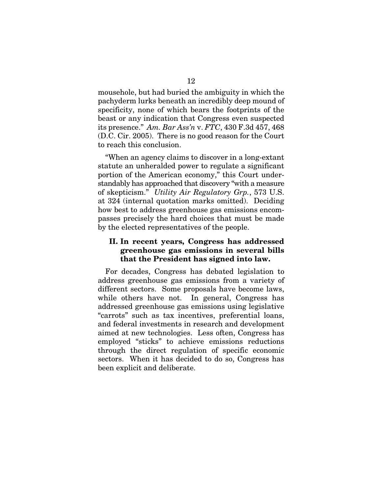mousehole, but had buried the ambiguity in which the pachyderm lurks beneath an incredibly deep mound of specificity, none of which bears the footprints of the beast or any indication that Congress even suspected its presence." *Am. Bar Ass'n* v. *FTC*, 430 F.3d 457, 468 (D.C. Cir. 2005). There is no good reason for the Court to reach this conclusion.

"When an agency claims to discover in a long-extant statute an unheralded power to regulate a significant portion of the American economy," this Court understandably has approached that discovery "with a measure of skepticism." *Utility Air Regulatory Grp.*, 573 U.S. at 324 (internal quotation marks omitted). Deciding how best to address greenhouse gas emissions encompasses precisely the hard choices that must be made by the elected representatives of the people.

## II. In recent years, Congress has addressed greenhouse gas emissions in several bills that the President has signed into law.

For decades, Congress has debated legislation to address greenhouse gas emissions from a variety of different sectors. Some proposals have become laws, while others have not. In general, Congress has addressed greenhouse gas emissions using legislative "carrots" such as tax incentives, preferential loans, and federal investments in research and development aimed at new technologies. Less often, Congress has employed "sticks" to achieve emissions reductions through the direct regulation of specific economic sectors. When it has decided to do so, Congress has been explicit and deliberate.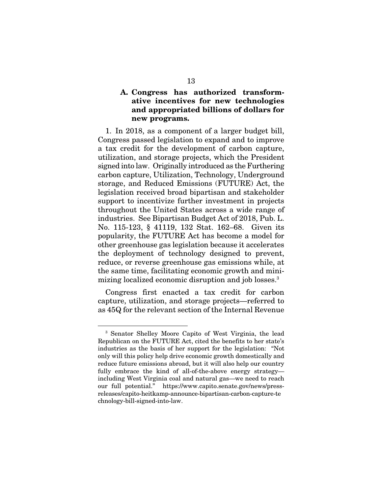## A. Congress has authorized transformative incentives for new technologies and appropriated billions of dollars for new programs.

1. In 2018, as a component of a larger budget bill, Congress passed legislation to expand and to improve a tax credit for the development of carbon capture, utilization, and storage projects, which the President signed into law. Originally introduced as the Furthering carbon capture, Utilization, Technology, Underground storage, and Reduced Emissions (FUTURE) Act, the legislation received broad bipartisan and stakeholder support to incentivize further investment in projects throughout the United States across a wide range of industries. See Bipartisan Budget Act of 2018, Pub. L. No. 115-123, § 41119, 132 Stat. 162–68. Given its popularity, the FUTURE Act has become a model for other greenhouse gas legislation because it accelerates the deployment of technology designed to prevent, reduce, or reverse greenhouse gas emissions while, at the same time, facilitating economic growth and minimizing localized economic disruption and job losses.3

Congress first enacted a tax credit for carbon capture, utilization, and storage projects—referred to as 45Q for the relevant section of the Internal Revenue

<sup>3</sup> Senator Shelley Moore Capito of West Virginia, the lead Republican on the FUTURE Act, cited the benefits to her state's industries as the basis of her support for the legislation: "Not only will this policy help drive economic growth domestically and reduce future emissions abroad, but it will also help our country fully embrace the kind of all-of-the-above energy strategy including West Virginia coal and natural gas—we need to reach our full potential." https://www.capito.senate.gov/news/pressreleases/capito-heitkamp-announce-bipartisan-carbon-capture-te chnology-bill-signed-into-law.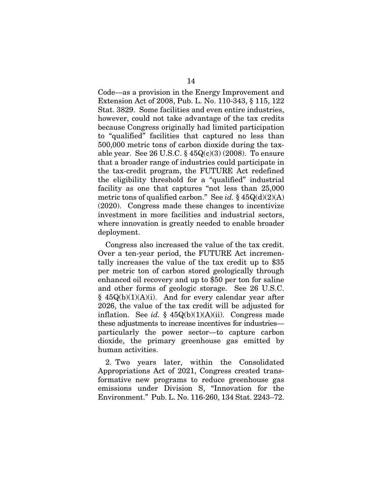Code—as a provision in the Energy Improvement and Extension Act of 2008, Pub. L. No. 110-343, § 115, 122 Stat. 3829. Some facilities and even entire industries, however, could not take advantage of the tax credits because Congress originally had limited participation to "qualified" facilities that captured no less than 500,000 metric tons of carbon dioxide during the taxable year. See 26 U.S.C.  $\S 45Q(c)(3)(2008)$ . To ensure that a broader range of industries could participate in the tax-credit program, the FUTURE Act redefined the eligibility threshold for a "qualified" industrial facility as one that captures "not less than 25,000 metric tons of qualified carbon." See *id.* § 45Q(d)(2)(A) (2020). Congress made these changes to incentivize investment in more facilities and industrial sectors, where innovation is greatly needed to enable broader deployment.

Congress also increased the value of the tax credit. Over a ten-year period, the FUTURE Act incrementally increases the value of the tax credit up to \$35 per metric ton of carbon stored geologically through enhanced oil recovery and up to \$50 per ton for saline and other forms of geologic storage. See 26 U.S.C.  $§ 45Q(b)(1)(A)(i)$ . And for every calendar year after 2026, the value of the tax credit will be adjusted for inflation. See *id.*  $\frac{6}{5}$  45Q(b)(1)(A)(ii). Congress made these adjustments to increase incentives for industries particularly the power sector—to capture carbon dioxide, the primary greenhouse gas emitted by human activities.

2. Two years later, within the Consolidated Appropriations Act of 2021, Congress created transformative new programs to reduce greenhouse gas emissions under Division S, "Innovation for the Environment." Pub. L. No. 116-260, 134 Stat. 2243–72.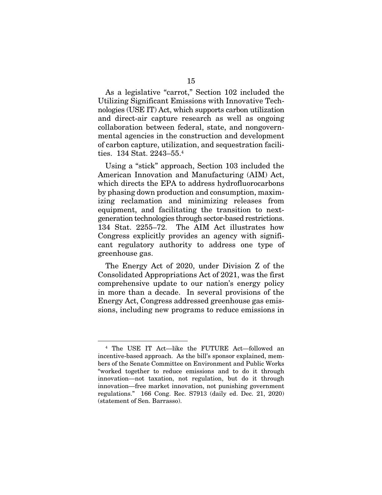As a legislative "carrot," Section 102 included the Utilizing Significant Emissions with Innovative Technologies (USE IT) Act, which supports carbon utilization and direct-air capture research as well as ongoing collaboration between federal, state, and nongovernmental agencies in the construction and development of carbon capture, utilization, and sequestration facilities. 134 Stat. 2243–55.4

Using a "stick" approach, Section 103 included the American Innovation and Manufacturing (AIM) Act, which directs the EPA to address hydrofluorocarbons by phasing down production and consumption, maximizing reclamation and minimizing releases from equipment, and facilitating the transition to nextgeneration technologies through sector-based restrictions. 134 Stat. 2255–72. The AIM Act illustrates how Congress explicitly provides an agency with significant regulatory authority to address one type of greenhouse gas.

The Energy Act of 2020, under Division Z of the Consolidated Appropriations Act of 2021, was the first comprehensive update to our nation's energy policy in more than a decade. In several provisions of the Energy Act, Congress addressed greenhouse gas emissions, including new programs to reduce emissions in

<sup>4</sup> The USE IT Act—like the FUTURE Act—followed an incentive-based approach. As the bill's sponsor explained, members of the Senate Committee on Environment and Public Works "worked together to reduce emissions and to do it through innovation—not taxation, not regulation, but do it through innovation—free market innovation, not punishing government regulations." 166 Cong. Rec. S7913 (daily ed. Dec. 21, 2020) (statement of Sen. Barrasso).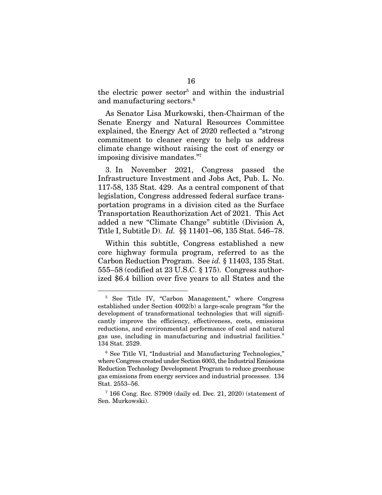the electric power sector<sup>5</sup> and within the industrial and manufacturing sectors.<sup>6</sup>

As Senator Lisa Murkowski, then-Chairman of the Senate Energy and Natural Resources Committee explained, the Energy Act of 2020 reflected a "strong commitment to cleaner energy to help us address climate change without raising the cost of energy or imposing divisive mandates."7

3. In November 2021, Congress passed the Infrastructure Investment and Jobs Act, Pub. L. No. 117-58, 135 Stat. 429. As a central component of that legislation, Congress addressed federal surface transportation programs in a division cited as the Surface Transportation Reauthorization Act of 2021. This Act added a new "Climate Change" subtitle (Division A, Title I, Subtitle D). *Id.* §§ 11401–06, 135 Stat. 546–78.

Within this subtitle, Congress established a new core highway formula program, referred to as the Carbon Reduction Program. See *id.* § 11403, 135 Stat. 555–58 (codified at 23 U.S.C. § 175). Congress authorized \$6.4 billion over five years to all States and the

<sup>5</sup> See Title IV, "Carbon Management," where Congress established under Section 4002(b) a large-scale program "for the development of transformational technologies that will significantly improve the efficiency, effectiveness, costs, emissions reductions, and environmental performance of coal and natural gas use, including in manufacturing and industrial facilities." 134 Stat. 2529.

<sup>6</sup> See Title VI, "Industrial and Manufacturing Technologies," where Congress created under Section 6003, the Industrial Emissions Reduction Technology Development Program to reduce greenhouse gas emissions from energy services and industrial processes. 134 Stat. 2553–56.

<sup>7</sup> 166 Cong. Rec. S7909 (daily ed. Dec. 21, 2020) (statement of Sen. Murkowski).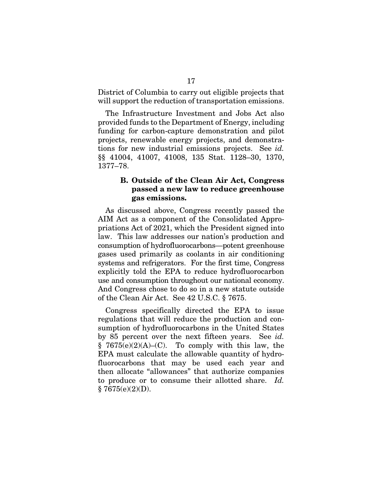District of Columbia to carry out eligible projects that will support the reduction of transportation emissions.

The Infrastructure Investment and Jobs Act also provided funds to the Department of Energy, including funding for carbon-capture demonstration and pilot projects, renewable energy projects, and demonstrations for new industrial emissions projects. See *id.* §§ 41004, 41007, 41008, 135 Stat. 1128–30, 1370, 1377–78.

## B. Outside of the Clean Air Act, Congress passed a new law to reduce greenhouse gas emissions.

As discussed above, Congress recently passed the AIM Act as a component of the Consolidated Appropriations Act of 2021, which the President signed into law. This law addresses our nation's production and consumption of hydrofluorocarbons—potent greenhouse gases used primarily as coolants in air conditioning systems and refrigerators. For the first time, Congress explicitly told the EPA to reduce hydrofluorocarbon use and consumption throughout our national economy. And Congress chose to do so in a new statute outside of the Clean Air Act. See 42 U.S.C. § 7675.

Congress specifically directed the EPA to issue regulations that will reduce the production and consumption of hydrofluorocarbons in the United States by 85 percent over the next fifteen years. See *id.*  $§ 7675(e)(2)(A)–(C)$ . To comply with this law, the EPA must calculate the allowable quantity of hydrofluorocarbons that may be used each year and then allocate "allowances" that authorize companies to produce or to consume their allotted share. *Id.*   $§ 7675(e)(2)(D).$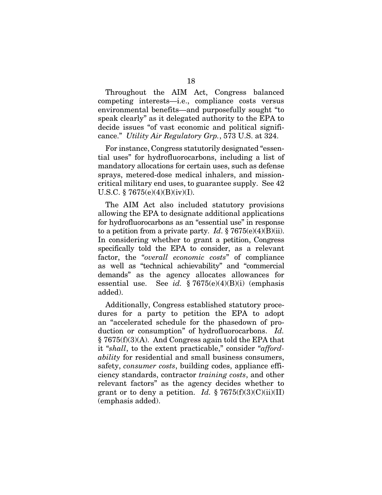Throughout the AIM Act, Congress balanced competing interests—i.e., compliance costs versus environmental benefits—and purposefully sought "to speak clearly" as it delegated authority to the EPA to decide issues "of vast economic and political significance." *Utility Air Regulatory Grp.*, 573 U.S. at 324.

For instance, Congress statutorily designated "essential uses" for hydrofluorocarbons, including a list of mandatory allocations for certain uses, such as defense sprays, metered-dose medical inhalers, and missioncritical military end uses, to guarantee supply. See 42 U.S.C. § 7675(e)(4)(B)(iv)(I).

The AIM Act also included statutory provisions allowing the EPA to designate additional applications for hydrofluorocarbons as an "essential use" in response to a petition from a private party. *Id.*  $\S 7675(e)(4)(B)(ii)$ . In considering whether to grant a petition, Congress specifically told the EPA to consider, as a relevant factor, the "*overall economic costs*" of compliance as well as "technical achievability" and "commercial demands" as the agency allocates allowances for essential use. See *id.* § 7675(e)(4)(B)(i) (emphasis added).

Additionally, Congress established statutory procedures for a party to petition the EPA to adopt an "accelerated schedule for the phasedown of production or consumption" of hydrofluorocarbons. *Id.* § 7675(f)(3)(A). And Congress again told the EPA that it "*shall*, to the extent practicable," consider "*affordability* for residential and small business consumers, safety, *consumer costs*, building codes, appliance efficiency standards, contractor *training costs*, and other relevant factors" as the agency decides whether to grant or to deny a petition. *Id.*  $\frac{8}{9}$  7675(f)(3)(C)(ii)(II) (emphasis added).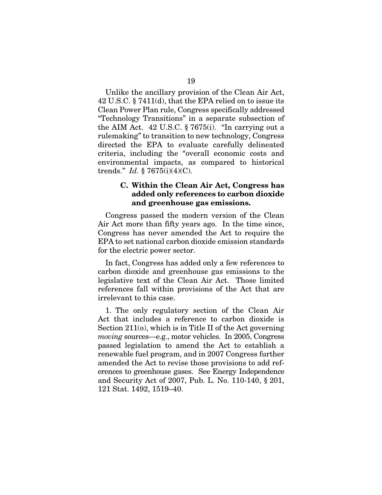Unlike the ancillary provision of the Clean Air Act, 42 U.S.C. § 7411(d), that the EPA relied on to issue its Clean Power Plan rule, Congress specifically addressed "Technology Transitions" in a separate subsection of the AIM Act. 42 U.S.C. § 7675(i). "In carrying out a rulemaking" to transition to new technology, Congress directed the EPA to evaluate carefully delineated criteria, including the "overall economic costs and environmental impacts, as compared to historical trends." *Id.* § 7675(i)(4)(C).

## C. Within the Clean Air Act, Congress has added only references to carbon dioxide and greenhouse gas emissions.

Congress passed the modern version of the Clean Air Act more than fifty years ago. In the time since, Congress has never amended the Act to require the EPA to set national carbon dioxide emission standards for the electric power sector.

In fact, Congress has added only a few references to carbon dioxide and greenhouse gas emissions to the legislative text of the Clean Air Act. Those limited references fall within provisions of the Act that are irrelevant to this case.

1. The only regulatory section of the Clean Air Act that includes a reference to carbon dioxide is Section 211(o), which is in Title II of the Act governing *moving* sources—e.g., motor vehicles. In 2005, Congress passed legislation to amend the Act to establish a renewable fuel program, and in 2007 Congress further amended the Act to revise those provisions to add references to greenhouse gases. See Energy Independence and Security Act of 2007, Pub. L. No. 110-140, § 201, 121 Stat. 1492, 1519–40.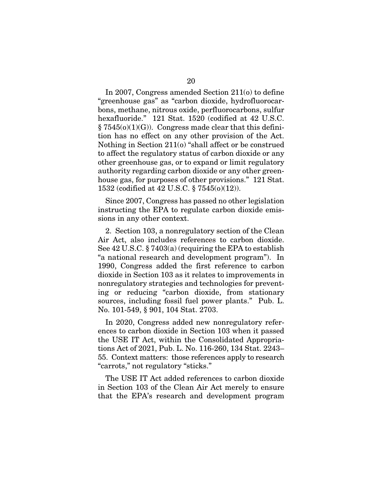In 2007, Congress amended Section 211(o) to define "greenhouse gas" as "carbon dioxide, hydrofluorocarbons, methane, nitrous oxide, perfluorocarbons, sulfur hexafluoride." 121 Stat. 1520 (codified at 42 U.S.C.  $\S 7545(0)(1)(G)$ . Congress made clear that this definition has no effect on any other provision of the Act. Nothing in Section 211(o) "shall affect or be construed to affect the regulatory status of carbon dioxide or any other greenhouse gas, or to expand or limit regulatory authority regarding carbon dioxide or any other greenhouse gas, for purposes of other provisions." 121 Stat. 1532 (codified at 42 U.S.C. § 7545(o)(12)).

Since 2007, Congress has passed no other legislation instructing the EPA to regulate carbon dioxide emissions in any other context.

2. Section 103, a nonregulatory section of the Clean Air Act, also includes references to carbon dioxide. See 42 U.S.C. § 7403(a) (requiring the EPA to establish "a national research and development program"). In 1990, Congress added the first reference to carbon dioxide in Section 103 as it relates to improvements in nonregulatory strategies and technologies for preventing or reducing "carbon dioxide, from stationary sources, including fossil fuel power plants." Pub. L. No. 101-549, § 901, 104 Stat. 2703.

In 2020, Congress added new nonregulatory references to carbon dioxide in Section 103 when it passed the USE IT Act, within the Consolidated Appropriations Act of 2021, Pub. L. No. 116-260, 134 Stat. 2243– 55. Context matters: those references apply to research "carrots," not regulatory "sticks."

The USE IT Act added references to carbon dioxide in Section 103 of the Clean Air Act merely to ensure that the EPA's research and development program